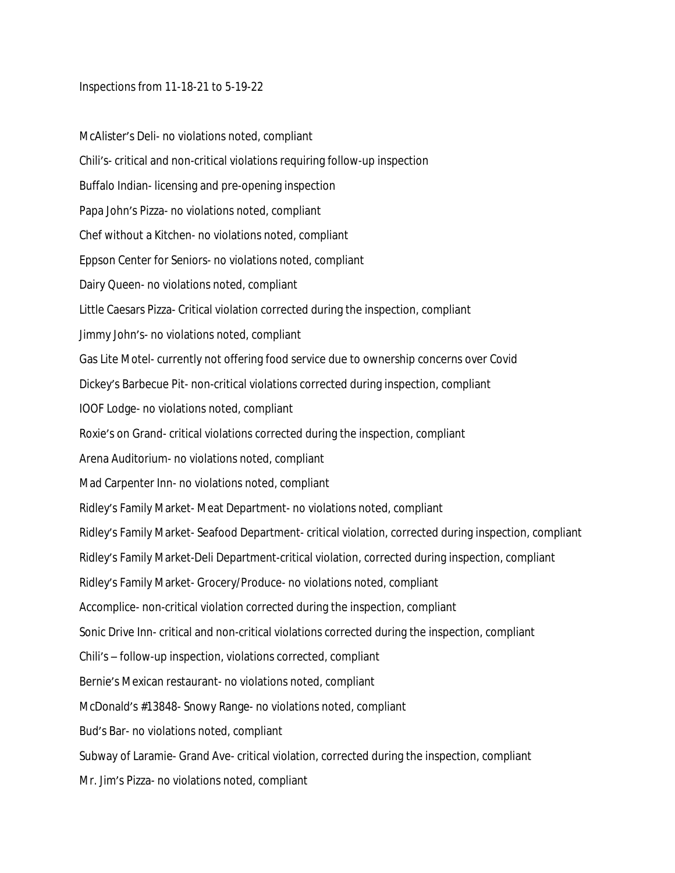## Inspections from 11-18-21 to 5-19-22

McAlister's Deli- no violations noted, compliant Chili's- critical and non-critical violations requiring follow-up inspection Buffalo Indian- licensing and pre-opening inspection Papa John's Pizza- no violations noted, compliant Chef without a Kitchen- no violations noted, compliant Eppson Center for Seniors- no violations noted, compliant Dairy Queen- no violations noted, compliant Little Caesars Pizza- Critical violation corrected during the inspection, compliant Jimmy John's- no violations noted, compliant Gas Lite Motel- currently not offering food service due to ownership concerns over Covid Dickey's Barbecue Pit- non-critical violations corrected during inspection, compliant IOOF Lodge- no violations noted, compliant Roxie's on Grand- critical violations corrected during the inspection, compliant Arena Auditorium- no violations noted, compliant Mad Carpenter Inn- no violations noted, compliant Ridley's Family Market- Meat Department- no violations noted, compliant Ridley's Family Market- Seafood Department- critical violation, corrected during inspection, compliant Ridley's Family Market-Deli Department-critical violation, corrected during inspection, compliant Ridley's Family Market- Grocery/Produce- no violations noted, compliant Accomplice- non-critical violation corrected during the inspection, compliant Sonic Drive Inn- critical and non-critical violations corrected during the inspection, compliant Chili's – follow-up inspection, violations corrected, compliant Bernie's Mexican restaurant- no violations noted, compliant McDonald's #13848- Snowy Range- no violations noted, compliant Bud's Bar- no violations noted, compliant Subway of Laramie- Grand Ave- critical violation, corrected during the inspection, compliant Mr. Jim's Pizza- no violations noted, compliant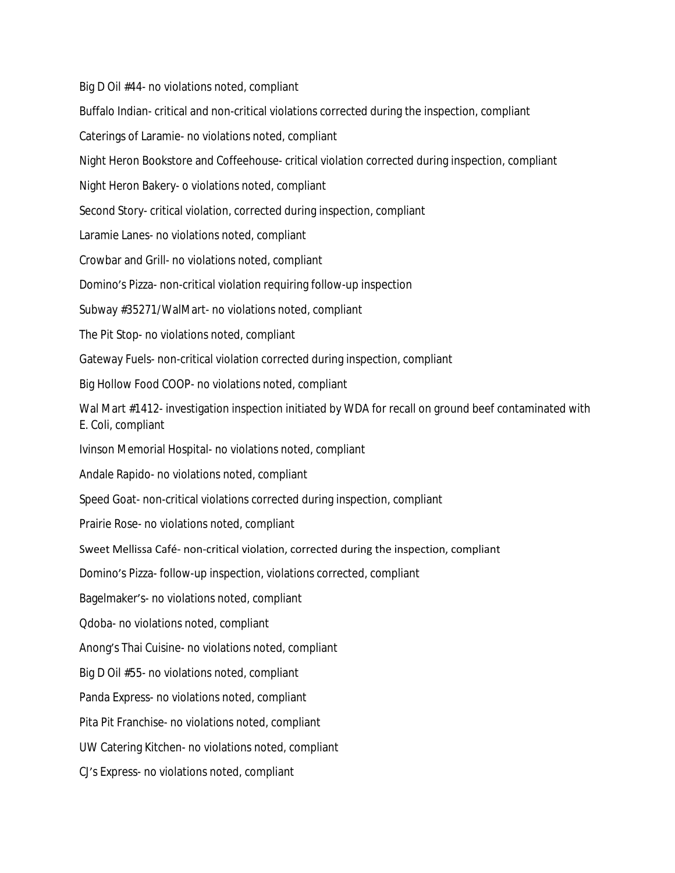Big D Oil #44- no violations noted, compliant Buffalo Indian- critical and non-critical violations corrected during the inspection, compliant Caterings of Laramie- no violations noted, compliant Night Heron Bookstore and Coffeehouse- critical violation corrected during inspection, compliant Night Heron Bakery- o violations noted, compliant Second Story- critical violation, corrected during inspection, compliant Laramie Lanes- no violations noted, compliant Crowbar and Grill- no violations noted, compliant Domino's Pizza- non-critical violation requiring follow-up inspection Subway #35271/WalMart- no violations noted, compliant The Pit Stop- no violations noted, compliant Gateway Fuels- non-critical violation corrected during inspection, compliant Big Hollow Food COOP- no violations noted, compliant Wal Mart #1412- investigation inspection initiated by WDA for recall on ground beef contaminated with E. Coli, compliant Ivinson Memorial Hospital- no violations noted, compliant Andale Rapido- no violations noted, compliant Speed Goat- non-critical violations corrected during inspection, compliant Prairie Rose- no violations noted, compliant Sweet Mellissa Café- non-critical violation, corrected during the inspection, compliant Domino's Pizza- follow-up inspection, violations corrected, compliant Bagelmaker's- no violations noted, compliant Qdoba- no violations noted, compliant Anong's Thai Cuisine- no violations noted, compliant Big D Oil #55- no violations noted, compliant Panda Express- no violations noted, compliant Pita Pit Franchise- no violations noted, compliant UW Catering Kitchen- no violations noted, compliant CJ's Express- no violations noted, compliant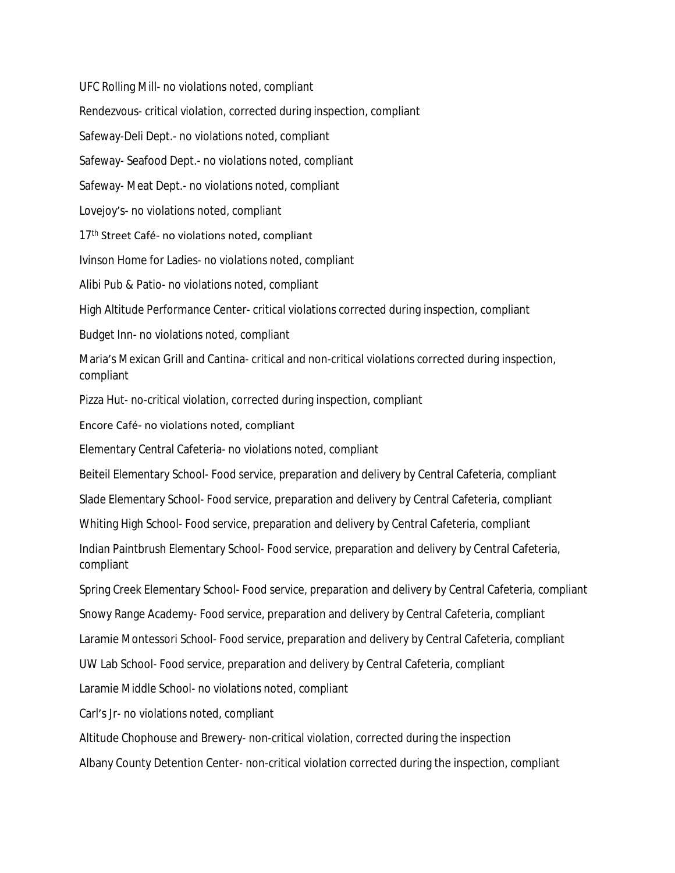UFC Rolling Mill- no violations noted, compliant Rendezvous- critical violation, corrected during inspection, compliant Safeway-Deli Dept.- no violations noted, compliant Safeway- Seafood Dept.- no violations noted, compliant Safeway- Meat Dept.- no violations noted, compliant Lovejoy's- no violations noted, compliant 17<sup>th</sup> Street Café- no violations noted, compliant Ivinson Home for Ladies- no violations noted, compliant Alibi Pub & Patio- no violations noted, compliant High Altitude Performance Center- critical violations corrected during inspection, compliant Budget Inn- no violations noted, compliant Maria's Mexican Grill and Cantina- critical and non-critical violations corrected during inspection, compliant Pizza Hut- no-critical violation, corrected during inspection, compliant Encore Café- no violations noted, compliant Elementary Central Cafeteria- no violations noted, compliant Beiteil Elementary School- Food service, preparation and delivery by Central Cafeteria, compliant Slade Elementary School- Food service, preparation and delivery by Central Cafeteria, compliant Whiting High School- Food service, preparation and delivery by Central Cafeteria, compliant Indian Paintbrush Elementary School- Food service, preparation and delivery by Central Cafeteria, compliant Spring Creek Elementary School- Food service, preparation and delivery by Central Cafeteria, compliant Snowy Range Academy- Food service, preparation and delivery by Central Cafeteria, compliant Laramie Montessori School- Food service, preparation and delivery by Central Cafeteria, compliant UW Lab School- Food service, preparation and delivery by Central Cafeteria, compliant Laramie Middle School- no violations noted, compliant Carl's Jr- no violations noted, compliant Altitude Chophouse and Brewery- non-critical violation, corrected during the inspection Albany County Detention Center- non-critical violation corrected during the inspection, compliant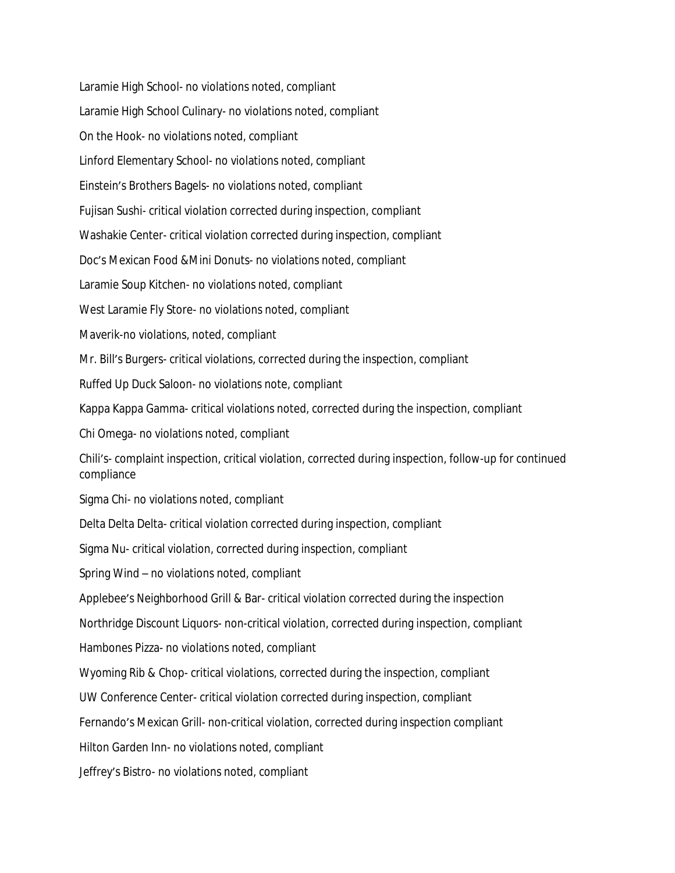Laramie High School- no violations noted, compliant Laramie High School Culinary- no violations noted, compliant On the Hook- no violations noted, compliant Linford Elementary School- no violations noted, compliant Einstein's Brothers Bagels- no violations noted, compliant Fujisan Sushi- critical violation corrected during inspection, compliant Washakie Center- critical violation corrected during inspection, compliant Doc's Mexican Food &Mini Donuts- no violations noted, compliant Laramie Soup Kitchen- no violations noted, compliant West Laramie Fly Store- no violations noted, compliant Maverik-no violations, noted, compliant Mr. Bill's Burgers- critical violations, corrected during the inspection, compliant Ruffed Up Duck Saloon- no violations note, compliant Kappa Kappa Gamma- critical violations noted, corrected during the inspection, compliant Chi Omega- no violations noted, compliant Chili's- complaint inspection, critical violation, corrected during inspection, follow-up for continued compliance Sigma Chi- no violations noted, compliant Delta Delta Delta- critical violation corrected during inspection, compliant Sigma Nu- critical violation, corrected during inspection, compliant Spring Wind – no violations noted, compliant Applebee's Neighborhood Grill & Bar- critical violation corrected during the inspection Northridge Discount Liquors- non-critical violation, corrected during inspection, compliant Hambones Pizza- no violations noted, compliant Wyoming Rib & Chop- critical violations, corrected during the inspection, compliant UW Conference Center- critical violation corrected during inspection, compliant Fernando's Mexican Grill- non-critical violation, corrected during inspection compliant Hilton Garden Inn- no violations noted, compliant Jeffrey's Bistro- no violations noted, compliant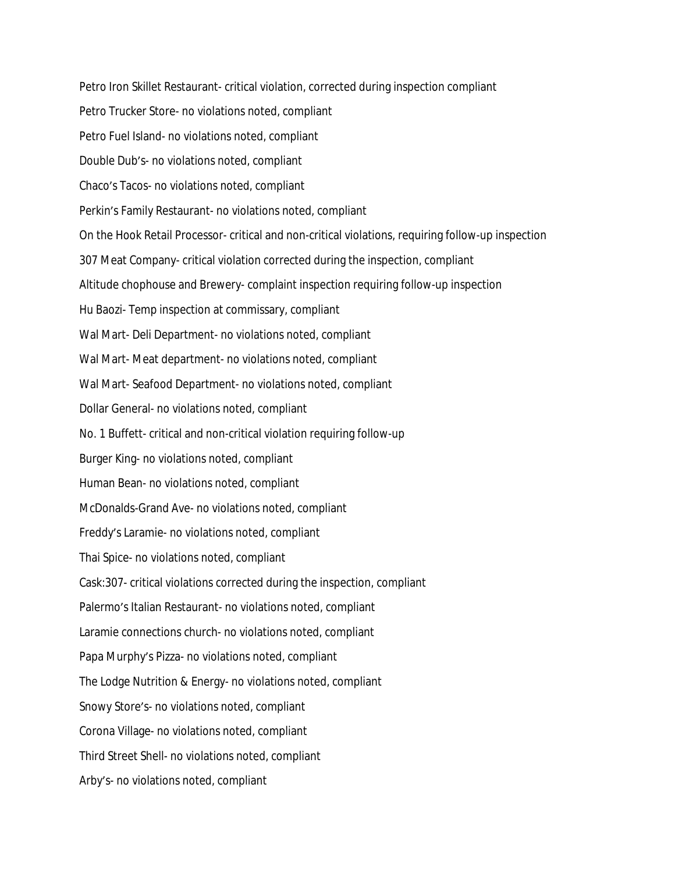Petro Iron Skillet Restaurant- critical violation, corrected during inspection compliant Petro Trucker Store- no violations noted, compliant Petro Fuel Island- no violations noted, compliant Double Dub's- no violations noted, compliant Chaco's Tacos- no violations noted, compliant Perkin's Family Restaurant- no violations noted, compliant On the Hook Retail Processor- critical and non-critical violations, requiring follow-up inspection 307 Meat Company- critical violation corrected during the inspection, compliant Altitude chophouse and Brewery- complaint inspection requiring follow-up inspection Hu Baozi- Temp inspection at commissary, compliant Wal Mart- Deli Department- no violations noted, compliant Wal Mart- Meat department- no violations noted, compliant Wal Mart- Seafood Department- no violations noted, compliant Dollar General- no violations noted, compliant No. 1 Buffett- critical and non-critical violation requiring follow-up Burger King- no violations noted, compliant Human Bean- no violations noted, compliant McDonalds-Grand Ave- no violations noted, compliant Freddy's Laramie- no violations noted, compliant Thai Spice- no violations noted, compliant Cask:307- critical violations corrected during the inspection, compliant Palermo's Italian Restaurant- no violations noted, compliant Laramie connections church- no violations noted, compliant Papa Murphy's Pizza- no violations noted, compliant The Lodge Nutrition & Energy- no violations noted, compliant Snowy Store's- no violations noted, compliant Corona Village- no violations noted, compliant Third Street Shell- no violations noted, compliant Arby's- no violations noted, compliant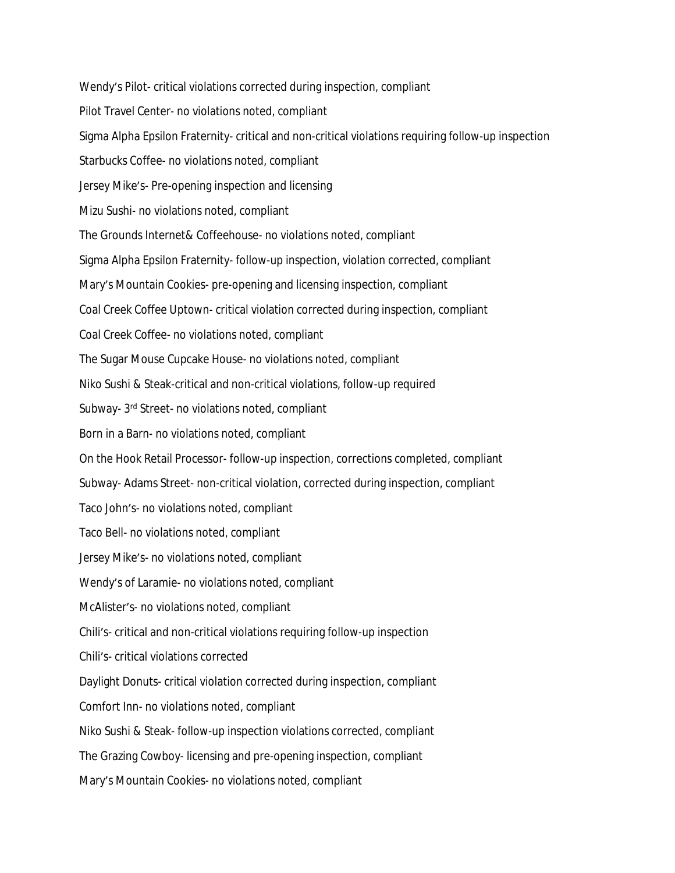Wendy's Pilot- critical violations corrected during inspection, compliant Pilot Travel Center- no violations noted, compliant Sigma Alpha Epsilon Fraternity- critical and non-critical violations requiring follow-up inspection Starbucks Coffee- no violations noted, compliant Jersey Mike's- Pre-opening inspection and licensing Mizu Sushi- no violations noted, compliant The Grounds Internet& Coffeehouse- no violations noted, compliant Sigma Alpha Epsilon Fraternity- follow-up inspection, violation corrected, compliant Mary's Mountain Cookies- pre-opening and licensing inspection, compliant Coal Creek Coffee Uptown- critical violation corrected during inspection, compliant Coal Creek Coffee- no violations noted, compliant The Sugar Mouse Cupcake House- no violations noted, compliant Niko Sushi & Steak-critical and non-critical violations, follow-up required Subway- 3rd Street- no violations noted, compliant Born in a Barn- no violations noted, compliant On the Hook Retail Processor- follow-up inspection, corrections completed, compliant Subway- Adams Street- non-critical violation, corrected during inspection, compliant Taco John's- no violations noted, compliant Taco Bell- no violations noted, compliant Jersey Mike's- no violations noted, compliant Wendy's of Laramie- no violations noted, compliant McAlister's- no violations noted, compliant Chili's- critical and non-critical violations requiring follow-up inspection Chili's- critical violations corrected Daylight Donuts- critical violation corrected during inspection, compliant Comfort Inn- no violations noted, compliant Niko Sushi & Steak- follow-up inspection violations corrected, compliant The Grazing Cowboy- licensing and pre-opening inspection, compliant Mary's Mountain Cookies- no violations noted, compliant